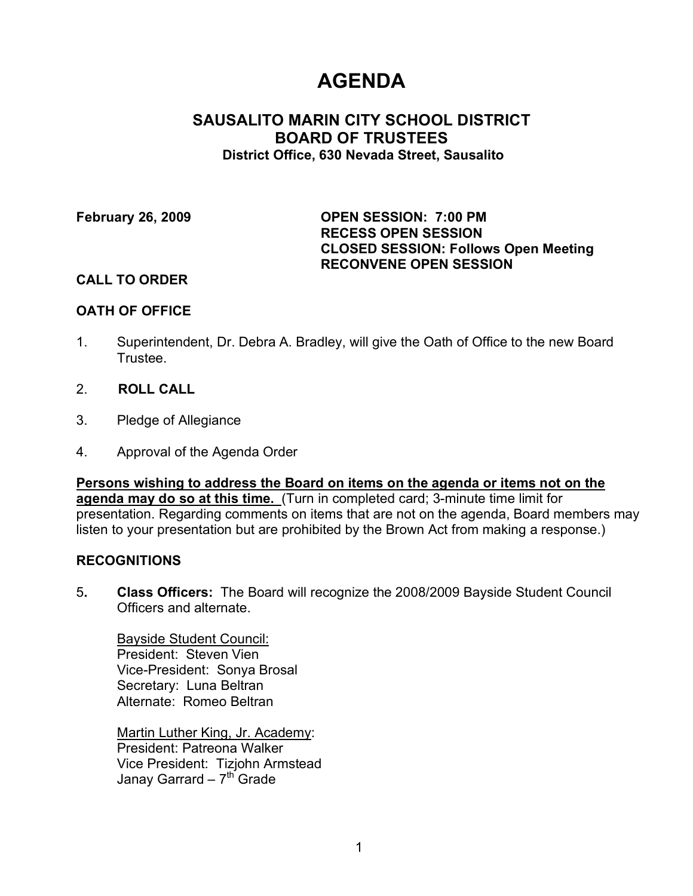# **AGENDA**

# **SAUSALITO MARIN CITY SCHOOL DISTRICT BOARD OF TRUSTEES District Office, 630 Nevada Street, Sausalito**

**February 26, 2009 OPEN SESSION: 7:00 PM RECESS OPEN SESSION CLOSED SESSION: Follows Open Meeting RECONVENE OPEN SESSION**

## **CALL TO ORDER**

## **OATH OF OFFICE**

- 1. Superintendent, Dr. Debra A. Bradley, will give the Oath of Office to the new Board Trustee.
- 2. **ROLL CALL**
- 3. Pledge of Allegiance
- 4. Approval of the Agenda Order

**Persons wishing to address the Board on items on the agenda or items not on the agenda may do so at this time.** (Turn in completed card; 3-minute time limit for presentation. Regarding comments on items that are not on the agenda, Board members may listen to your presentation but are prohibited by the Brown Act from making a response.)

#### **RECOGNITIONS**

5**. Class Officers:** The Board will recognize the 2008/2009 Bayside Student Council Officers and alternate.

Bayside Student Council: President: Steven Vien Vice-President: Sonya Brosal Secretary: Luna Beltran Alternate: Romeo Beltran

Martin Luther King, Jr. Academy: President: Patreona Walker Vice President: Tizjohn Armstead Janay Garrard –  $7<sup>th</sup>$  Grade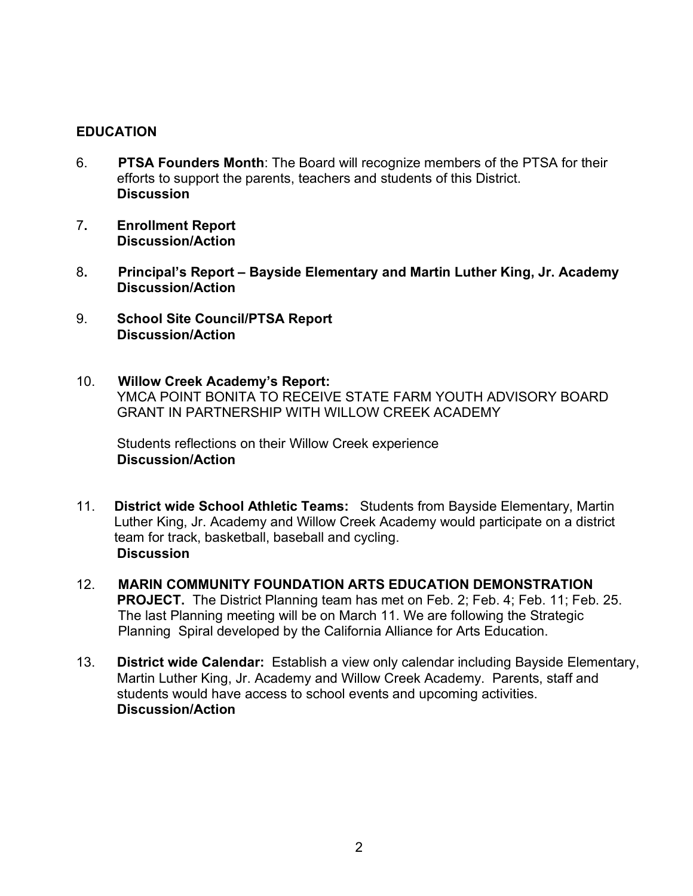## **EDUCATION**

- 6. **PTSA Founders Month**: The Board will recognize members of the PTSA for their efforts to support the parents, teachers and students of this District. **Discussion**
- 7**. Enrollment Report Discussion/Action**
- 8**. Principal's Report – Bayside Elementary and Martin Luther King, Jr. Academy Discussion/Action**
- 9. **School Site Council/PTSA Report Discussion/Action**
- 10. **Willow Creek Academy's Report:** YMCA POINT BONITA TO RECEIVE STATE FARM YOUTH ADVISORY BOARD GRANT IN PARTNERSHIP WITH WILLOW CREEK ACADEMY

Students reflections on their Willow Creek experience **Discussion/Action**

- 11. **District wide School Athletic Teams:** Students from Bayside Elementary, Martin Luther King, Jr. Academy and Willow Creek Academy would participate on a district team for track, basketball, baseball and cycling. **Discussion**
- 12. **MARIN COMMUNITY FOUNDATION ARTS EDUCATION DEMONSTRATION PROJECT.** The District Planning team has met on Feb. 2; Feb. 4; Feb. 11; Feb. 25. The last Planning meeting will be on March 11. We are following the Strategic Planning Spiral developed by the California Alliance for Arts Education.
- 13. **District wide Calendar:** Establish a view only calendar including Bayside Elementary, Martin Luther King, Jr. Academy and Willow Creek Academy. Parents, staff and students would have access to school events and upcoming activities. **Discussion/Action**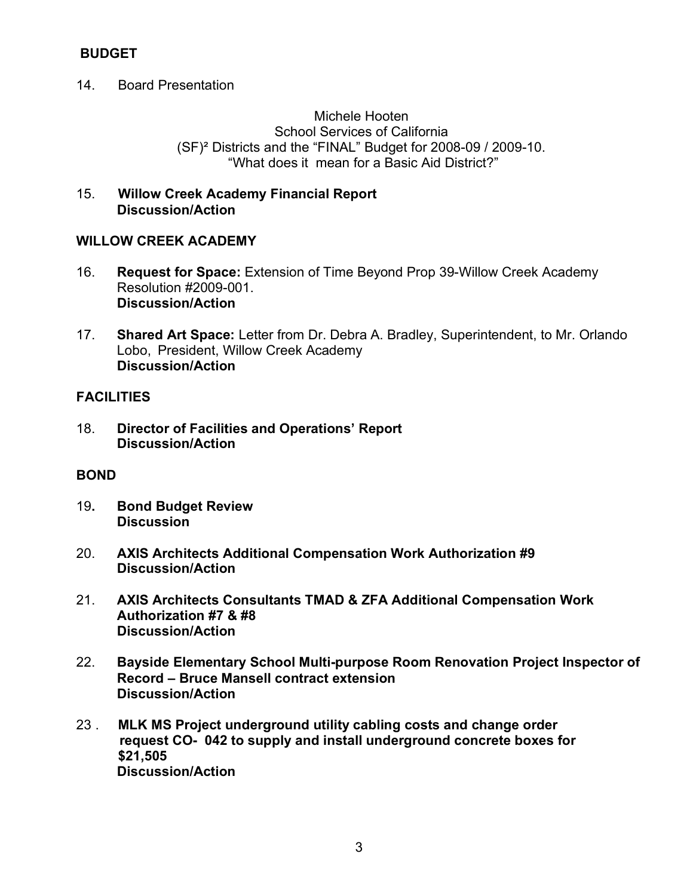# **BUDGET**

14. Board Presentation

Michele Hooten School Services of California (SF)² Districts and the "FINAL" Budget for 2008-09 / 2009-10. "What does it mean for a Basic Aid District?"

15. **Willow Creek Academy Financial Report Discussion/Action**

## **WILLOW CREEK ACADEMY**

- 16. **Request for Space:** Extension of Time Beyond Prop 39-Willow Creek Academy Resolution #2009-001. **Discussion/Action**
- 17. **Shared Art Space:** Letter from Dr. Debra A. Bradley, Superintendent, to Mr. Orlando Lobo, President, Willow Creek Academy **Discussion/Action**

## **FACILITIES**

18. **Director of Facilities and Operations' Report Discussion/Action**

# **BOND**

- 19**. Bond Budget Review Discussion**
- 20. **AXIS Architects Additional Compensation Work Authorization #9 Discussion/Action**
- 21. **AXIS Architects Consultants TMAD & ZFA Additional Compensation Work Authorization #7 & #8 Discussion/Action**
- 22. **Bayside Elementary School Multi-purpose Room Renovation Project Inspector of Record – Bruce Mansell contract extension Discussion/Action**
- 23 . **MLK MS Project underground utility cabling costs and change order request CO- 042 to supply and install underground concrete boxes for \$21,505 Discussion/Action**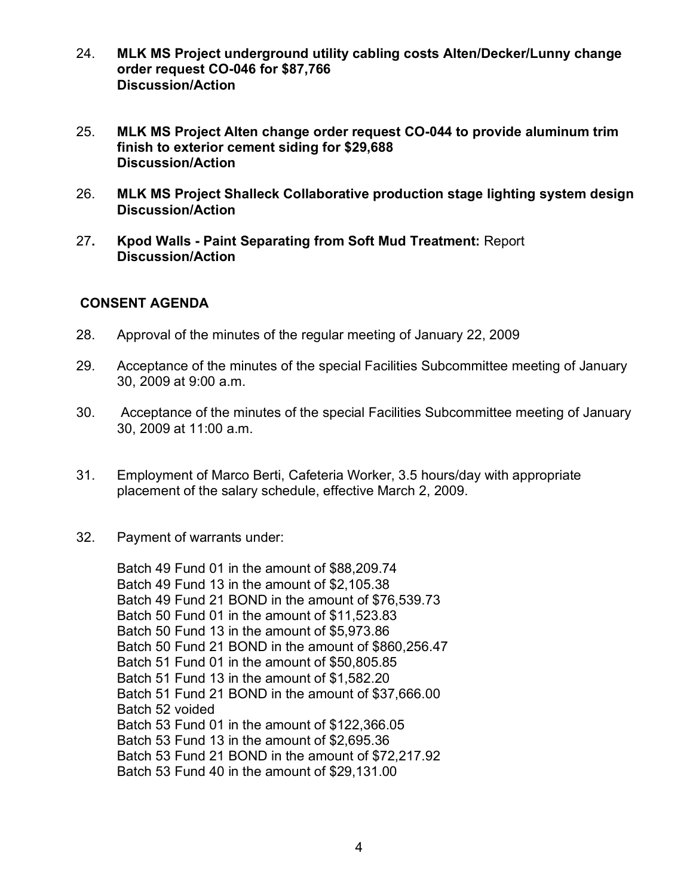- 24. **MLK MS Project underground utility cabling costs Alten/Decker/Lunny change order request CO-046 for \$87,766 Discussion/Action**
- 25. **MLK MS Project Alten change order request CO-044 to provide aluminum trim finish to exterior cement siding for \$29,688 Discussion/Action**
- 26. **MLK MS Project Shalleck Collaborative production stage lighting system design Discussion/Action**
- 27**. Kpod Walls - Paint Separating from Soft Mud Treatment:** Report **Discussion/Action**

# **CONSENT AGENDA**

- 28. Approval of the minutes of the regular meeting of January 22, 2009
- 29. Acceptance of the minutes of the special Facilities Subcommittee meeting of January 30, 2009 at 9:00 a.m.
- 30. Acceptance of the minutes of the special Facilities Subcommittee meeting of January 30, 2009 at 11:00 a.m.
- 31. Employment of Marco Berti, Cafeteria Worker, 3.5 hours/day with appropriate placement of the salary schedule, effective March 2, 2009.
- 32. Payment of warrants under:

Batch 49 Fund 01 in the amount of \$88,209.74 Batch 49 Fund 13 in the amount of \$2,105.38 Batch 49 Fund 21 BOND in the amount of \$76,539.73 Batch 50 Fund 01 in the amount of \$11,523.83 Batch 50 Fund 13 in the amount of \$5,973.86 Batch 50 Fund 21 BOND in the amount of \$860,256.47 Batch 51 Fund 01 in the amount of \$50,805.85 Batch 51 Fund 13 in the amount of \$1,582.20 Batch 51 Fund 21 BOND in the amount of \$37,666.00 Batch 52 voided Batch 53 Fund 01 in the amount of \$122,366.05 Batch 53 Fund 13 in the amount of \$2,695.36 Batch 53 Fund 21 BOND in the amount of \$72,217.92 Batch 53 Fund 40 in the amount of \$29,131.00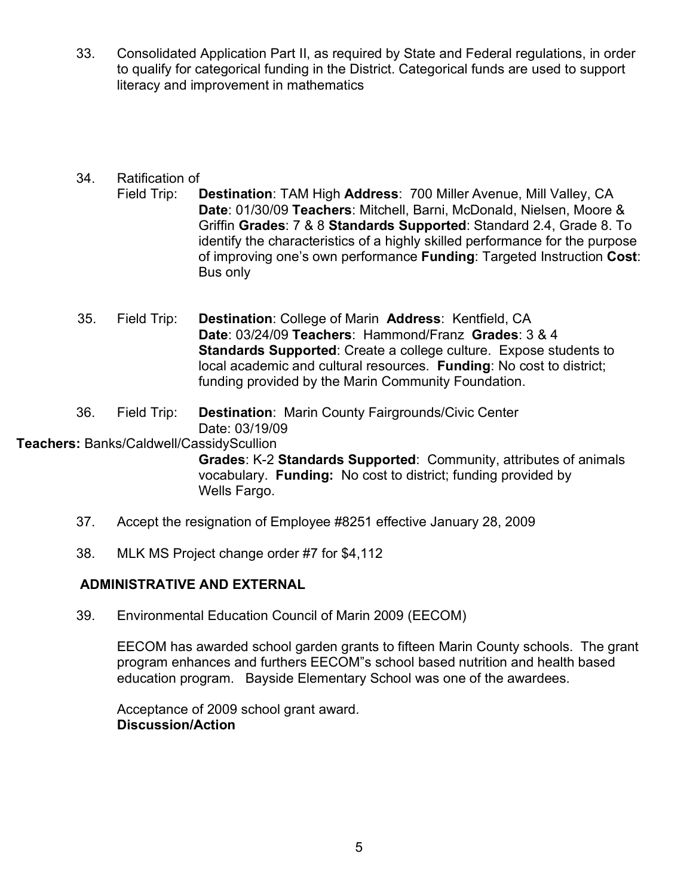33. Consolidated Application Part II, as required by State and Federal regulations, in order to qualify for categorical funding in the District. Categorical funds are used to support literacy and improvement in mathematics

# 34. Ratification of

- Field Trip: **Destination**: TAM High **Address**: 700 Miller Avenue, Mill Valley, CA **Date**: 01/30/09 **Teachers**: Mitchell, Barni, McDonald, Nielsen, Moore & Griffin **Grades**: 7 & 8 **Standards Supported**: Standard 2.4, Grade 8. To identify the characteristics of a highly skilled performance for the purpose of improving one's own performance **Funding**: Targeted Instruction **Cost**: Bus only
- 35. Field Trip: **Destination**: College of Marin **Address**: Kentfield, CA **Date**: 03/24/09 **Teachers**: Hammond/Franz **Grades**: 3 & 4 **Standards Supported**: Create a college culture. Expose students to local academic and cultural resources. **Funding**: No cost to district; funding provided by the Marin Community Foundation.
- 36. Field Trip: **Destination**: Marin County Fairgrounds/Civic Center Date: 03/19/09

## **Teachers:** Banks/Caldwell/CassidyScullion

**Grades**: K-2 **Standards Supported**: Community, attributes of animals vocabulary. **Funding:** No cost to district; funding provided by Wells Fargo.

- 37. Accept the resignation of Employee #8251 effective January 28, 2009
- 38. MLK MS Project change order #7 for \$4,112

# **ADMINISTRATIVE AND EXTERNAL**

39. Environmental Education Council of Marin 2009 (EECOM)

EECOM has awarded school garden grants to fifteen Marin County schools. The grant program enhances and furthers EECOM"s school based nutrition and health based education program. Bayside Elementary School was one of the awardees.

Acceptance of 2009 school grant award. **Discussion/Action**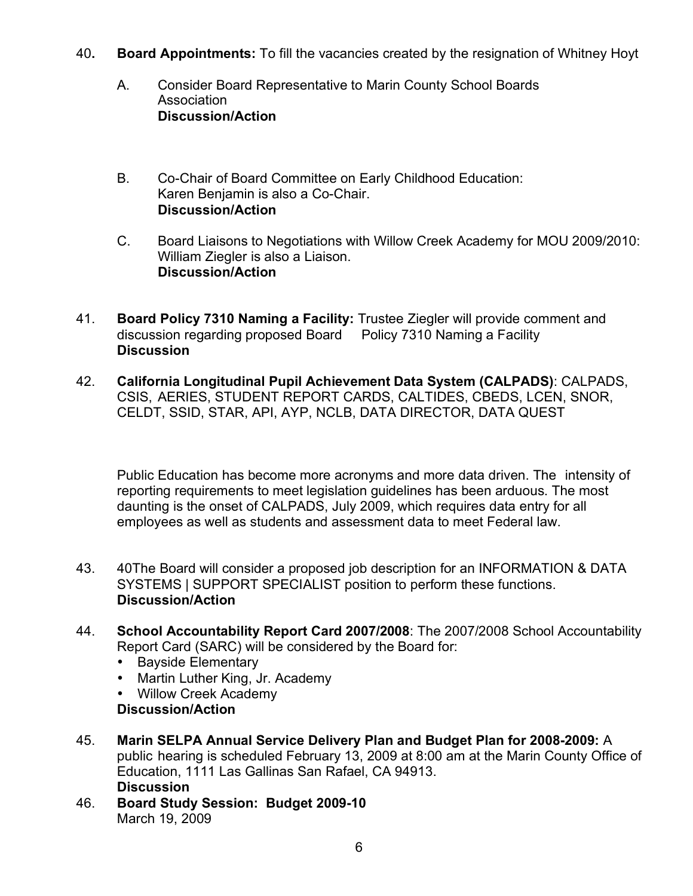- 40**. Board Appointments:** To fill the vacancies created by the resignation of Whitney Hoyt
	- A. Consider Board Representative to Marin County School Boards **Association Discussion/Action**
	- B. Co-Chair of Board Committee on Early Childhood Education: Karen Benjamin is also a Co-Chair. **Discussion/Action**
	- C. Board Liaisons to Negotiations with Willow Creek Academy for MOU 2009/2010: William Ziegler is also a Liaison. **Discussion/Action**
- 41. **Board Policy 7310 Naming a Facility:** Trustee Ziegler will provide comment and discussion regarding proposed Board Policy 7310 Naming a Facility **Discussion**
- 42. **California Longitudinal Pupil Achievement Data System (CALPADS)**: CALPADS, CSIS, AERIES, STUDENT REPORT CARDS, CALTIDES, CBEDS, LCEN, SNOR, CELDT, SSID, STAR, API, AYP, NCLB, DATA DIRECTOR, DATA QUEST

Public Education has become more acronyms and more data driven. The intensity of reporting requirements to meet legislation guidelines has been arduous. The most daunting is the onset of CALPADS, July 2009, which requires data entry for all employees as well as students and assessment data to meet Federal law.

- 43. 40The Board will consider a proposed job description for an INFORMATION & DATA SYSTEMS | SUPPORT SPECIALIST position to perform these functions. **Discussion/Action**
- 44. **School Accountability Report Card 2007/2008**: The 2007/2008 School Accountability Report Card (SARC) will be considered by the Board for:
	- Bayside Elementary
	- Martin Luther King, Jr. Academy
	- Willow Creek Academy

# **Discussion/Action**

- 45. **Marin SELPA Annual Service Delivery Plan and Budget Plan for 2008-2009:** A public hearing is scheduled February 13, 2009 at 8:00 am at the Marin County Office of Education, 1111 Las Gallinas San Rafael, CA 94913. **Discussion**
- 46. **Board Study Session: Budget 2009-10** March 19, 2009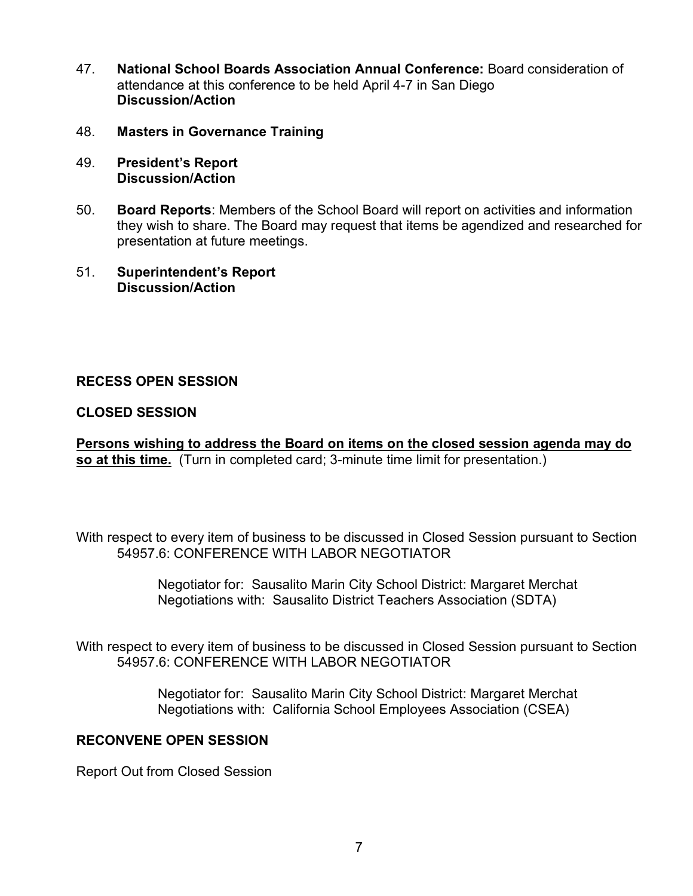- 47. **National School Boards Association Annual Conference:** Board consideration of attendance at this conference to be held April 4-7 in San Diego **Discussion/Action**
- 48. **Masters in Governance Training**
- 49. **President's Report Discussion/Action**
- 50. **Board Reports**: Members of the School Board will report on activities and information they wish to share. The Board may request that items be agendized and researched for presentation at future meetings.
- 51. **Superintendent's Report Discussion/Action**

## **RECESS OPEN SESSION**

## **CLOSED SESSION**

**Persons wishing to address the Board on items on the closed session agenda may do so at this time.** (Turn in completed card; 3-minute time limit for presentation.)

With respect to every item of business to be discussed in Closed Session pursuant to Section 54957.6: CONFERENCE WITH LABOR NEGOTIATOR

> Negotiator for: Sausalito Marin City School District: Margaret Merchat Negotiations with: Sausalito District Teachers Association (SDTA)

With respect to every item of business to be discussed in Closed Session pursuant to Section 54957.6: CONFERENCE WITH LABOR NEGOTIATOR

> Negotiator for: Sausalito Marin City School District: Margaret Merchat Negotiations with: California School Employees Association (CSEA)

## **RECONVENE OPEN SESSION**

Report Out from Closed Session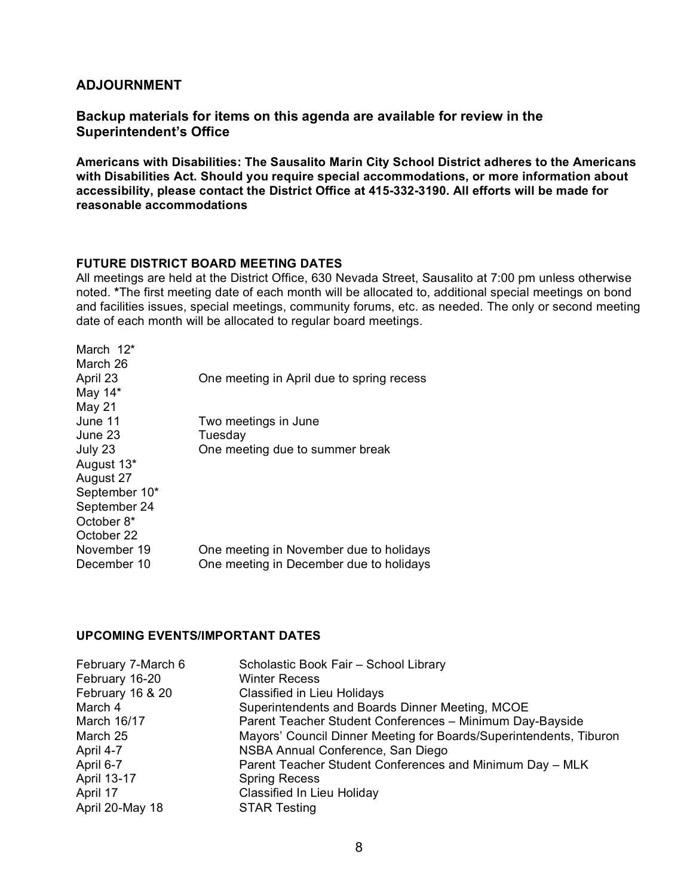#### **ADJOURNMENT**

#### **Backup materials for items on this agenda are available for review in the Superintendent's Office**

**Americans with Disabilities: The Sausalito Marin City School District adheres to the Americans with Disabilities Act. Should you require special accommodations, or more information about accessibility, please contact the District Office at 415-332-3190. All efforts will be made for reasonable accommodations**

#### **FUTURE DISTRICT BOARD MEETING DATES**

All meetings are held at the District Office, 630 Nevada Street, Sausalito at 7:00 pm unless otherwise noted. **\***The first meeting date of each month will be allocated to, additional special meetings on bond and facilities issues, special meetings, community forums, etc. as needed. The only or second meeting date of each month will be allocated to regular board meetings.

| March $12^*$  |                                           |
|---------------|-------------------------------------------|
| March 26      |                                           |
| April 23      | One meeting in April due to spring recess |
| May 14*       |                                           |
| <b>May 21</b> |                                           |
| June 11       | Two meetings in June                      |
| June 23       | Tuesday                                   |
| July 23       | One meeting due to summer break           |
| August 13*    |                                           |
| August 27     |                                           |
| September 10* |                                           |
| September 24  |                                           |
| October 8*    |                                           |
| October 22    |                                           |
| November 19   | One meeting in November due to holidays   |
| December 10   | One meeting in December due to holidays   |
|               |                                           |

#### **UPCOMING EVENTS/IMPORTANT DATES**

| Scholastic Book Fair - School Library                              |
|--------------------------------------------------------------------|
| <b>Winter Recess</b>                                               |
| <b>Classified in Lieu Holidays</b>                                 |
| Superintendents and Boards Dinner Meeting, MCOE                    |
| Parent Teacher Student Conferences - Minimum Day-Bayside           |
| Mayors' Council Dinner Meeting for Boards/Superintendents, Tiburon |
| NSBA Annual Conference, San Diego                                  |
| Parent Teacher Student Conferences and Minimum Day - MLK           |
| <b>Spring Recess</b>                                               |
| <b>Classified In Lieu Holiday</b>                                  |
| <b>STAR Testing</b>                                                |
|                                                                    |